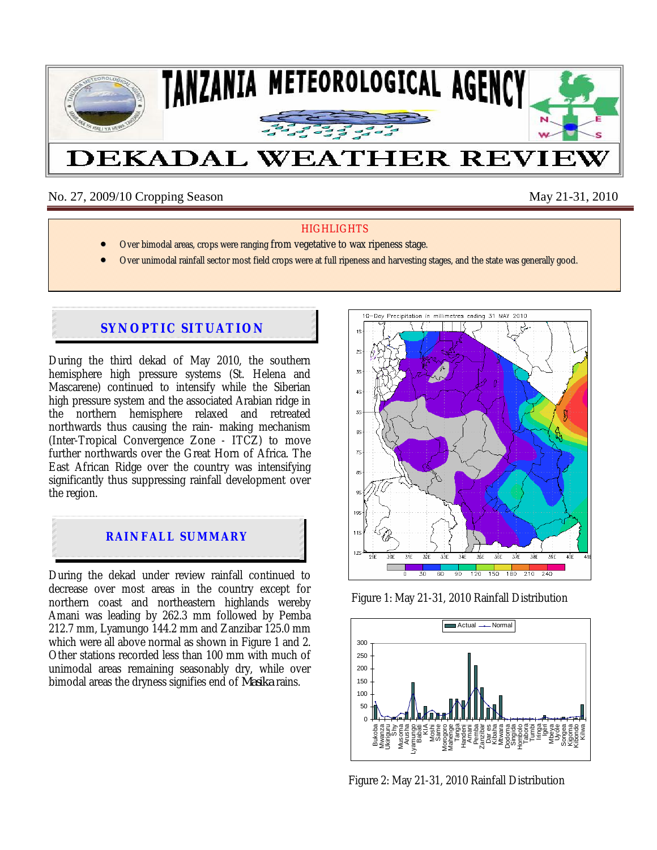

No. 27, 2009/10 Cropping Season May 21-31, 2010

### **HIGHLIGHTS**

- Over bimodal areas, crops were ranging from vegetative to wax ripeness stage.
- Over unimodal rainfall sector most field crops were at full ripeness and harvesting stages, and the state was generally good.

# **SYNOPTIC SITUATION**

During the third dekad of May 2010, the southern hemisphere high pressure systems (St. Helena and Mascarene) continued to intensify while the Siberian high pressure system and the associated Arabian ridge in the northern hemisphere relaxed and retreated northwards thus causing the rain- making mechanism (Inter-Tropical Convergence Zone - ITCZ) to move further northwards over the Great Horn of Africa. The East African Ridge over the country was intensifying significantly thus suppressing rainfall development over the region.



During the dekad under review rainfall continued to decrease over most areas in the country except for northern coast and northeastern highlands wereby Amani was leading by 262.3 mm followed by Pemba 212.7 mm, Lyamungo 144.2 mm and Zanzibar 125.0 mm which were all above normal as shown in Figure 1 and 2. Other stations recorded less than 100 mm with much of unimodal areas remaining seasonably dry, while over bimodal areas the dryness signifies end of *Masika* rains.







Figure 2: May 21-31, 2010 Rainfall Distribution